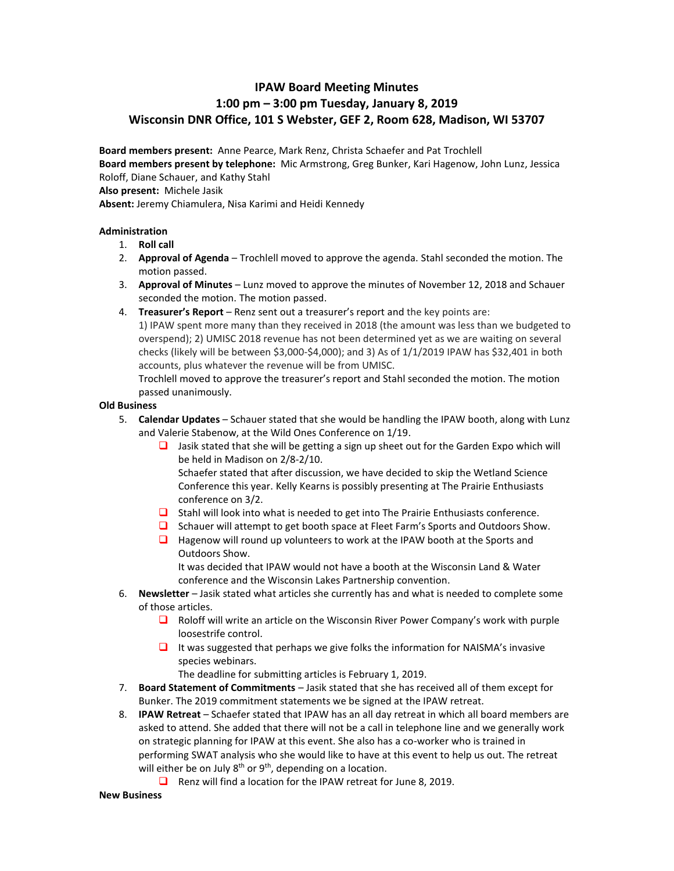## **IPAW Board Meeting Minutes 1:00 pm – 3:00 pm Tuesday, January 8, 2019 Wisconsin DNR Office, 101 S Webster, GEF 2, Room 628, Madison, WI 53707**

**Board members present:** Anne Pearce, Mark Renz, Christa Schaefer and Pat Trochlell **Board members present by telephone:** Mic Armstrong, Greg Bunker, Kari Hagenow, John Lunz, Jessica Roloff, Diane Schauer, and Kathy Stahl

**Also present:** Michele Jasik

**Absent:** Jeremy Chiamulera, Nisa Karimi and Heidi Kennedy

## **Administration**

- 1. **Roll call**
- 2. **Approval of Agenda** Trochlell moved to approve the agenda. Stahl seconded the motion. The motion passed.
- 3. **Approval of Minutes** Lunz moved to approve the minutes of November 12, 2018 and Schauer seconded the motion. The motion passed.
- 4. **Treasurer's Report** Renz sent out a treasurer's report and the key points are: 1) IPAW spent more many than they received in 2018 (the amount was less than we budgeted to overspend); 2) UMISC 2018 revenue has not been determined yet as we are waiting on several checks (likely will be between \$3,000-\$4,000); and 3) As of 1/1/2019 IPAW has \$32,401 in both accounts, plus whatever the revenue will be from UMISC.

Trochlell moved to approve the treasurer's report and Stahl seconded the motion. The motion passed unanimously.

## **Old Business**

- 5. **Calendar Updates** Schauer stated that she would be handling the IPAW booth, along with Lunz and Valerie Stabenow, at the Wild Ones Conference on 1/19.
	- ❑ Jasik stated that she will be getting a sign up sheet out for the Garden Expo which will be held in Madison on 2/8-2/10.

Schaefer stated that after discussion, we have decided to skip the Wetland Science Conference this year. Kelly Kearns is possibly presenting at The Prairie Enthusiasts conference on 3/2.

- ❑ Stahl will look into what is needed to get into The Prairie Enthusiasts conference.
- ❑ Schauer will attempt to get booth space at Fleet Farm's Sports and Outdoors Show.
- ❑ Hagenow will round up volunteers to work at the IPAW booth at the Sports and Outdoors Show.

It was decided that IPAW would not have a booth at the Wisconsin Land & Water conference and the Wisconsin Lakes Partnership convention.

- 6. **Newsletter** Jasik stated what articles she currently has and what is needed to complete some of those articles.
	- ❑ Roloff will write an article on the Wisconsin River Power Company's work with purple loosestrife control.
	- ❑ It was suggested that perhaps we give folks the information for NAISMA's invasive species webinars.

The deadline for submitting articles is February 1, 2019.

- 7. **Board Statement of Commitments** Jasik stated that she has received all of them except for Bunker. The 2019 commitment statements we be signed at the IPAW retreat.
- 8. **IPAW Retreat** Schaefer stated that IPAW has an all day retreat in which all board members are asked to attend. She added that there will not be a call in telephone line and we generally work on strategic planning for IPAW at this event. She also has a co-worker who is trained in performing SWAT analysis who she would like to have at this event to help us out. The retreat will either be on July 8<sup>th</sup> or 9<sup>th</sup>, depending on a location.
	- ❑ Renz will find a location for the IPAW retreat for June 8, 2019.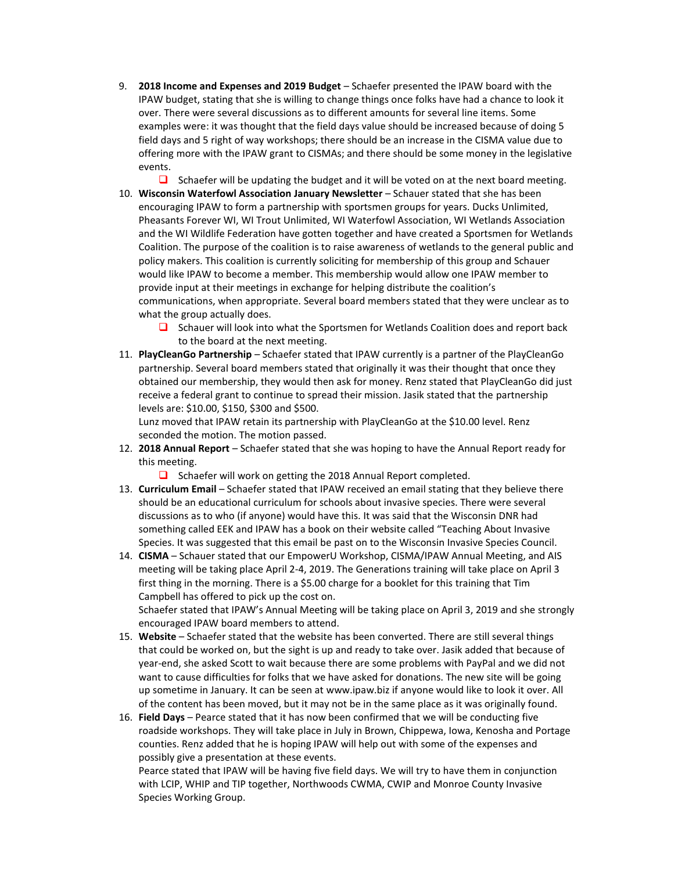9. **2018 Income and Expenses and 2019 Budget** – Schaefer presented the IPAW board with the IPAW budget, stating that she is willing to change things once folks have had a chance to look it over. There were several discussions as to different amounts for several line items. Some examples were: it was thought that the field days value should be increased because of doing 5 field days and 5 right of way workshops; there should be an increase in the CISMA value due to offering more with the IPAW grant to CISMAs; and there should be some money in the legislative events.

 $\Box$  Schaefer will be updating the budget and it will be voted on at the next board meeting. 10. **Wisconsin Waterfowl Association January Newsletter** – Schauer stated that she has been encouraging IPAW to form a partnership with sportsmen groups for years. Ducks Unlimited, Pheasants Forever WI, WI Trout Unlimited, WI Waterfowl Association, WI Wetlands Association and the WI Wildlife Federation have gotten together and have created a Sportsmen for Wetlands Coalition. The purpose of the coalition is to raise awareness of wetlands to the general public and policy makers. This coalition is currently soliciting for membership of this group and Schauer would like IPAW to become a member. This membership would allow one IPAW member to provide input at their meetings in exchange for helping distribute the coalition's communications, when appropriate. Several board members stated that they were unclear as to what the group actually does.

- ❑ Schauer will look into what the Sportsmen for Wetlands Coalition does and report back to the board at the next meeting.
- 11. **PlayCleanGo Partnership** Schaefer stated that IPAW currently is a partner of the PlayCleanGo partnership. Several board members stated that originally it was their thought that once they obtained our membership, they would then ask for money. Renz stated that PlayCleanGo did just receive a federal grant to continue to spread their mission. Jasik stated that the partnership levels are: \$10.00, \$150, \$300 and \$500.

Lunz moved that IPAW retain its partnership with PlayCleanGo at the \$10.00 level. Renz seconded the motion. The motion passed.

- 12. **2018 Annual Report**  Schaefer stated that she was hoping to have the Annual Report ready for this meeting.
	- ❑ Schaefer will work on getting the 2018 Annual Report completed.
- 13. **Curriculum Email** Schaefer stated that IPAW received an email stating that they believe there should be an educational curriculum for schools about invasive species. There were several discussions as to who (if anyone) would have this. It was said that the Wisconsin DNR had something called EEK and IPAW has a book on their website called "Teaching About Invasive Species. It was suggested that this email be past on to the Wisconsin Invasive Species Council.
- 14. **CISMA** Schauer stated that our EmpowerU Workshop, CISMA/IPAW Annual Meeting, and AIS meeting will be taking place April 2-4, 2019. The Generations training will take place on April 3 first thing in the morning. There is a \$5.00 charge for a booklet for this training that Tim Campbell has offered to pick up the cost on. Schaefer stated that IPAW's Annual Meeting will be taking place on April 3, 2019 and she strongly

encouraged IPAW board members to attend.

15. **Website** – Schaefer stated that the website has been converted. There are still several things that could be worked on, but the sight is up and ready to take over. Jasik added that because of year-end, she asked Scott to wait because there are some problems with PayPal and we did not want to cause difficulties for folks that we have asked for donations. The new site will be going up sometime in January. It can be seen at www.ipaw.biz if anyone would like to look it over. All of the content has been moved, but it may not be in the same place as it was originally found.

16. **Field Days** – Pearce stated that it has now been confirmed that we will be conducting five roadside workshops. They will take place in July in Brown, Chippewa, Iowa, Kenosha and Portage counties. Renz added that he is hoping IPAW will help out with some of the expenses and possibly give a presentation at these events.

Pearce stated that IPAW will be having five field days. We will try to have them in conjunction with LCIP, WHIP and TIP together, Northwoods CWMA, CWIP and Monroe County Invasive Species Working Group.